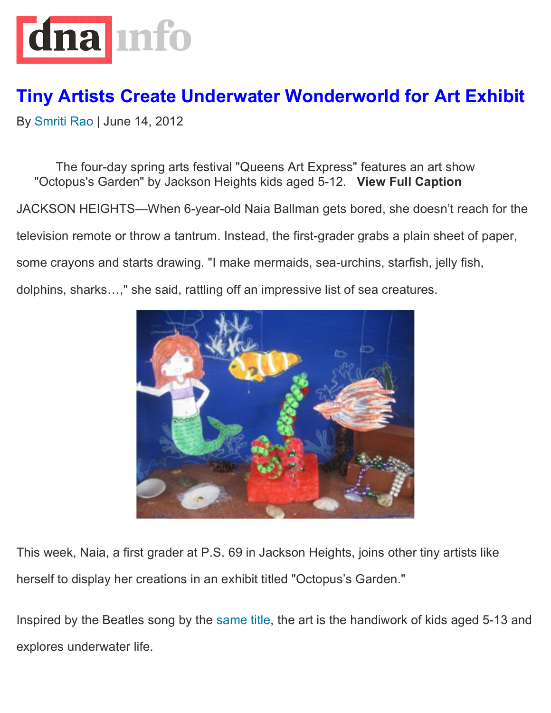

## **Tiny Artists Create Underwater Wonderworld for Art Exhibit**

By Smriti Rao | June 14, 2012

The four-day spring arts festival "Queens Art Express" features an art show "Octopus's Garden" by Jackson Heights kids aged 5-12. **View Full Caption**

JACKSON HEIGHTS—When 6-year-old Naia Ballman gets bored, she doesn't reach for the

television remote or throw a tantrum. Instead, the first-grader grabs a plain sheet of paper,

some crayons and starts drawing. "I make mermaids, sea-urchins, starfish, jelly fish,

dolphins, sharks…," she said, rattling off an impressive list of sea creatures.



This week, Naia, a first grader at P.S. 69 in Jackson Heights, joins other tiny artists like herself to display her creations in an exhibit titled "Octopus's Garden."

Inspired by the Beatles song by the same title, the art is the handiwork of kids aged 5-13 and explores underwater life.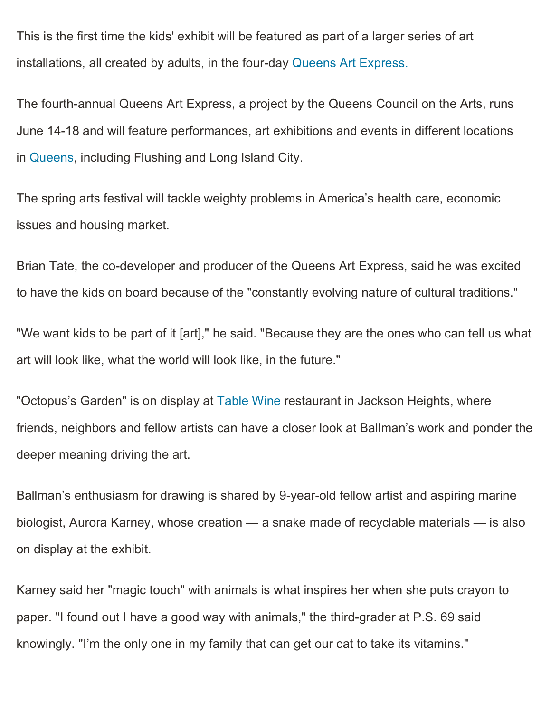This is the first time the kids' exhibit will be featured as part of a larger series of art installations, all created by adults, in the four-day Queens Art Express.

The fourth-annual Queens Art Express, a project by the Queens Council on the Arts, runs June 14-18 and will feature performances, art exhibitions and events in different locations in Queens, including Flushing and Long Island City.

The spring arts festival will tackle weighty problems in America's health care, economic issues and housing market.

Brian Tate, the co-developer and producer of the Queens Art Express, said he was excited to have the kids on board because of the "constantly evolving nature of cultural traditions."

"We want kids to be part of it [art]," he said. "Because they are the ones who can tell us what art will look like, what the world will look like, in the future."

"Octopus's Garden" is on display at Table Wine restaurant in Jackson Heights, where friends, neighbors and fellow artists can have a closer look at Ballman's work and ponder the deeper meaning driving the art.

Ballman's enthusiasm for drawing is shared by 9-year-old fellow artist and aspiring marine biologist, Aurora Karney, whose creation — a snake made of recyclable materials — is also on display at the exhibit.

Karney said her "magic touch" with animals is what inspires her when she puts crayon to paper. "I found out I have a good way with animals," the third-grader at P.S. 69 said knowingly. "I'm the only one in my family that can get our cat to take its vitamins."